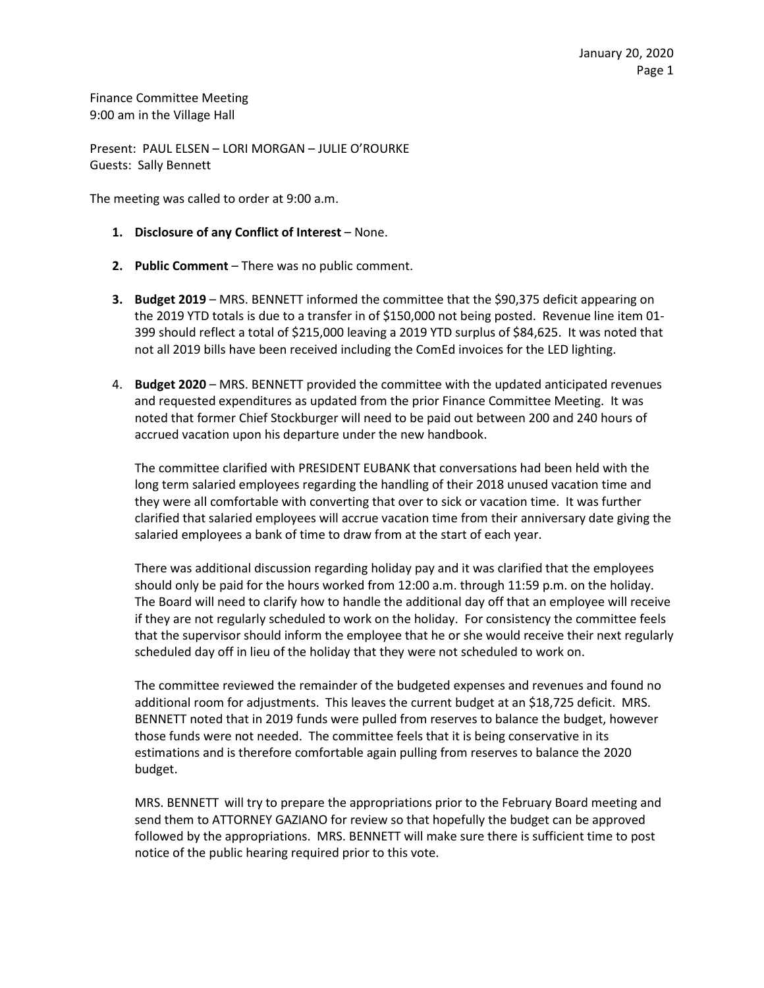Finance Committee Meeting 9:00 am in the Village Hall

Present: PAUL ELSEN – LORI MORGAN – JULIE O'ROURKE Guests: Sally Bennett

The meeting was called to order at 9:00 a.m.

- **1. Disclosure of any Conflict of Interest** None.
- **2. Public Comment** There was no public comment.
- **3. Budget 2019** MRS. BENNETT informed the committee that the \$90,375 deficit appearing on the 2019 YTD totals is due to a transfer in of \$150,000 not being posted. Revenue line item 01- 399 should reflect a total of \$215,000 leaving a 2019 YTD surplus of \$84,625. It was noted that not all 2019 bills have been received including the ComEd invoices for the LED lighting.
- 4. **Budget 2020** MRS. BENNETT provided the committee with the updated anticipated revenues and requested expenditures as updated from the prior Finance Committee Meeting. It was noted that former Chief Stockburger will need to be paid out between 200 and 240 hours of accrued vacation upon his departure under the new handbook.

The committee clarified with PRESIDENT EUBANK that conversations had been held with the long term salaried employees regarding the handling of their 2018 unused vacation time and they were all comfortable with converting that over to sick or vacation time. It was further clarified that salaried employees will accrue vacation time from their anniversary date giving the salaried employees a bank of time to draw from at the start of each year.

There was additional discussion regarding holiday pay and it was clarified that the employees should only be paid for the hours worked from 12:00 a.m. through 11:59 p.m. on the holiday. The Board will need to clarify how to handle the additional day off that an employee will receive if they are not regularly scheduled to work on the holiday. For consistency the committee feels that the supervisor should inform the employee that he or she would receive their next regularly scheduled day off in lieu of the holiday that they were not scheduled to work on.

The committee reviewed the remainder of the budgeted expenses and revenues and found no additional room for adjustments. This leaves the current budget at an \$18,725 deficit. MRS. BENNETT noted that in 2019 funds were pulled from reserves to balance the budget, however those funds were not needed. The committee feels that it is being conservative in its estimations and is therefore comfortable again pulling from reserves to balance the 2020 budget.

MRS. BENNETT will try to prepare the appropriations prior to the February Board meeting and send them to ATTORNEY GAZIANO for review so that hopefully the budget can be approved followed by the appropriations. MRS. BENNETT will make sure there is sufficient time to post notice of the public hearing required prior to this vote.